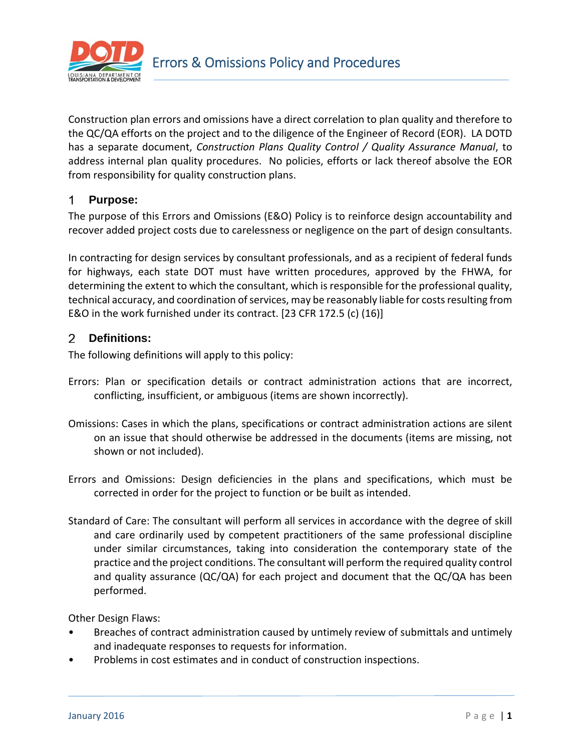

Construction plan errors and omissions have a direct correlation to plan quality and therefore to the QC/QA efforts on the project and to the diligence of the Engineer of Record (EOR). LA DOTD has a separate document, *Construction Plans Quality Control / Quality Assurance Manual*, to address internal plan quality procedures. No policies, efforts or lack thereof absolve the EOR from responsibility for quality construction plans.

#### 1. **Purpose:**

The purpose of this Errors and Omissions (E&O) Policy is to reinforce design accountability and recover added project costs due to carelessness or negligence on the part of design consultants.

In contracting for design services by consultant professionals, and as a recipient of federal funds for highways, each state DOT must have written procedures, approved by the FHWA, for determining the extent to which the consultant, which is responsible for the professional quality, technical accuracy, and coordination of services, may be reasonably liable for costs resulting from E&O in the work furnished under its contract. [23 CFR 172.5 (c) (16)]

#### 2 **Definitions:**

The following definitions will apply to this policy:

- Errors: Plan or specification details or contract administration actions that are incorrect, conflicting, insufficient, or ambiguous (items are shown incorrectly).
- Omissions: Cases in which the plans, specifications or contract administration actions are silent on an issue that should otherwise be addressed in the documents (items are missing, not shown or not included).
- Errors and Omissions: Design deficiencies in the plans and specifications, which must be corrected in order for the project to function or be built as intended.
- Standard of Care: The consultant will perform all services in accordance with the degree of skill and care ordinarily used by competent practitioners of the same professional discipline under similar circumstances, taking into consideration the contemporary state of the practice and the project conditions. The consultant will perform the required quality control and quality assurance (QC/QA) for each project and document that the QC/QA has been performed.

Other Design Flaws:

- Breaches of contract administration caused by untimely review of submittals and untimely and inadequate responses to requests for information.
- Problems in cost estimates and in conduct of construction inspections.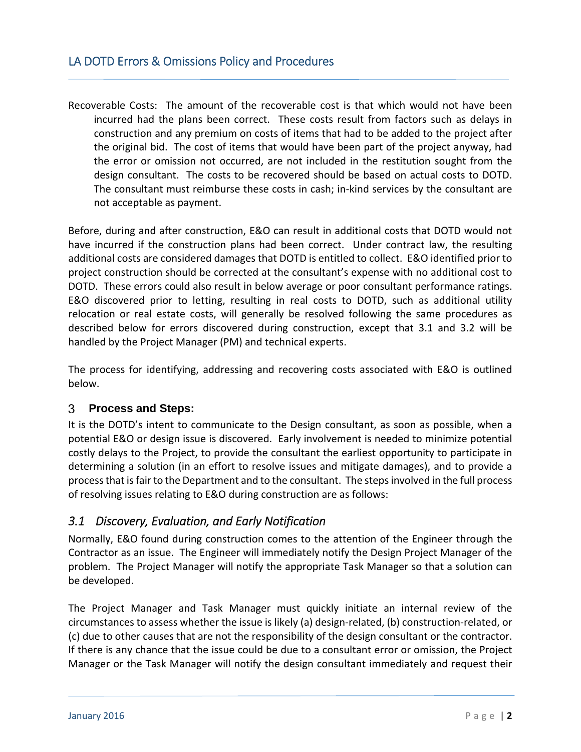Recoverable Costs: The amount of the recoverable cost is that which would not have been incurred had the plans been correct. These costs result from factors such as delays in construction and any premium on costs of items that had to be added to the project after the original bid. The cost of items that would have been part of the project anyway, had the error or omission not occurred, are not included in the restitution sought from the design consultant. The costs to be recovered should be based on actual costs to DOTD. The consultant must reimburse these costs in cash; in-kind services by the consultant are not acceptable as payment.

Before, during and after construction, E&O can result in additional costs that DOTD would not have incurred if the construction plans had been correct. Under contract law, the resulting additional costs are considered damages that DOTD is entitled to collect. E&O identified prior to project construction should be corrected at the consultant's expense with no additional cost to DOTD. These errors could also result in below average or poor consultant performance ratings. E&O discovered prior to letting, resulting in real costs to DOTD, such as additional utility relocation or real estate costs, will generally be resolved following the same procedures as described below for errors discovered during construction, except that 3.1 and 3.2 will be handled by the Project Manager (PM) and technical experts.

The process for identifying, addressing and recovering costs associated with E&O is outlined below.

#### 3 **Process and Steps:**

It is the DOTD's intent to communicate to the Design consultant, as soon as possible, when a potential E&O or design issue is discovered. Early involvement is needed to minimize potential costly delays to the Project, to provide the consultant the earliest opportunity to participate in determining a solution (in an effort to resolve issues and mitigate damages), and to provide a process that is fair to the Department and to the consultant. The steps involved in the full process of resolving issues relating to E&O during construction are as follows:

# *3.1 Discovery, Evaluation, and Early Notification*

Normally, E&O found during construction comes to the attention of the Engineer through the Contractor as an issue. The Engineer will immediately notify the Design Project Manager of the problem. The Project Manager will notify the appropriate Task Manager so that a solution can be developed.

The Project Manager and Task Manager must quickly initiate an internal review of the circumstances to assess whether the issue is likely (a) design-related, (b) construction-related, or (c) due to other causes that are not the responsibility of the design consultant or the contractor. If there is any chance that the issue could be due to a consultant error or omission, the Project Manager or the Task Manager will notify the design consultant immediately and request their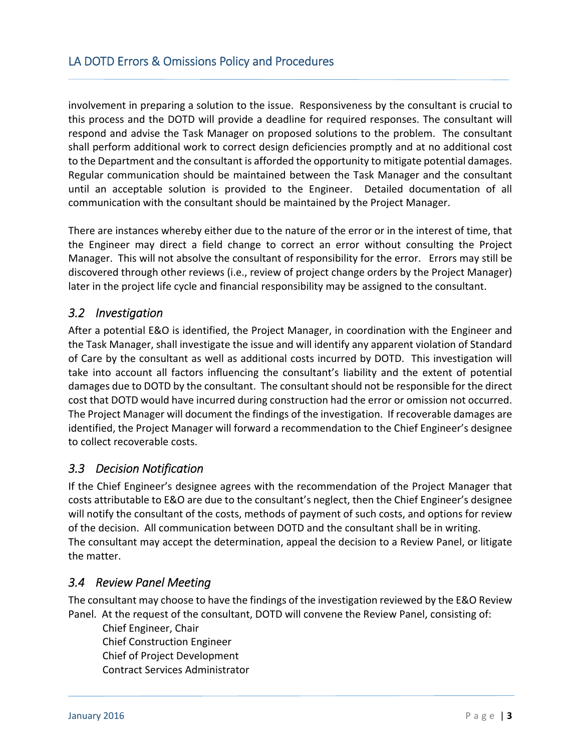involvement in preparing a solution to the issue. Responsiveness by the consultant is crucial to this process and the DOTD will provide a deadline for required responses. The consultant will respond and advise the Task Manager on proposed solutions to the problem. The consultant shall perform additional work to correct design deficiencies promptly and at no additional cost to the Department and the consultant is afforded the opportunity to mitigate potential damages. Regular communication should be maintained between the Task Manager and the consultant until an acceptable solution is provided to the Engineer. Detailed documentation of all communication with the consultant should be maintained by the Project Manager.

There are instances whereby either due to the nature of the error or in the interest of time, that the Engineer may direct a field change to correct an error without consulting the Project Manager. This will not absolve the consultant of responsibility for the error. Errors may still be discovered through other reviews (i.e., review of project change orders by the Project Manager) later in the project life cycle and financial responsibility may be assigned to the consultant.

### *3.2 Investigation*

After a potential E&O is identified, the Project Manager, in coordination with the Engineer and the Task Manager, shall investigate the issue and will identify any apparent violation of Standard of Care by the consultant as well as additional costs incurred by DOTD. This investigation will take into account all factors influencing the consultant's liability and the extent of potential damages due to DOTD by the consultant. The consultant should not be responsible for the direct cost that DOTD would have incurred during construction had the error or omission not occurred. The Project Manager will document the findings of the investigation. If recoverable damages are identified, the Project Manager will forward a recommendation to the Chief Engineer's designee to collect recoverable costs.

### *3.3 Decision Notification*

If the Chief Engineer's designee agrees with the recommendation of the Project Manager that costs attributable to E&O are due to the consultant's neglect, then the Chief Engineer's designee will notify the consultant of the costs, methods of payment of such costs, and options for review of the decision. All communication between DOTD and the consultant shall be in writing. The consultant may accept the determination, appeal the decision to a Review Panel, or litigate the matter.

### *3.4 Review Panel Meeting*

The consultant may choose to have the findings of the investigation reviewed by the E&O Review Panel. At the request of the consultant, DOTD will convene the Review Panel, consisting of:

Chief Engineer, Chair Chief Construction Engineer Chief of Project Development Contract Services Administrator